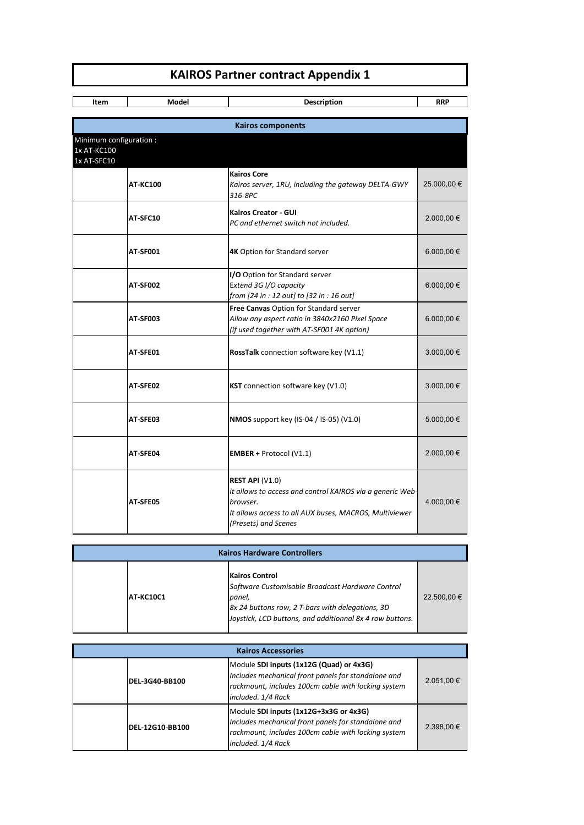## **KAIROS Partner contract Appendix 1**

**Item** | Model | Description | RRP **AT-KC100 Kairos Core** *Kairos server, 1RU, including the gateway DELTA-GWY 316-8PC*  25.000,00 € **AT-SFC10 Kairos Creator - GUI** *PC and ethernet switch not included.* 2.000,00 € **AT-SF001 4K** Option for Standard server **6.000,00 € AT-SF002 I/O** Option for Standard server E*xtend 3G I/O capacity from [24 in : 12 out] to [32 in : 16 out]* 6.000,00 € **AT-SF003 Free Canvas** Option for Standard server *Allow any aspect ratio in 3840x2160 Pixel Space (if used together with AT-SF001 4K option)* 6.000,00 € **AT-SFE01 RossTalk** connection software key (V1.1) 3.000,00 € **AT-SFE02 KST** connection software key (V1.0)  $\vert$  3.000,00 € **AT-SFE03 NMOS** support key (IS-04 / IS-05) (V1.0) 5.000,00 € **AT-SFE04 EMBER +** Protocol (V1.1) 2.000,00 € **AT-SFE05 REST API** (V1.0) *it allows to access and control KAIROS via a generic Webbrowser. It allows access to all AUX buses, MACROS, Multiviewer*  4.000,00 € **Kairos components** Minimum configuration : 1x AT-KC100 1x AT-SFC10

| <b>Kairos Hardware Controllers</b> |                  |                                                                                                                                                                                                     |             |  |  |
|------------------------------------|------------------|-----------------------------------------------------------------------------------------------------------------------------------------------------------------------------------------------------|-------------|--|--|
|                                    | <b>AT-KC10C1</b> | <b>Kairos Control</b><br>Software Customisable Broadcast Hardware Control<br>panel,<br>8x 24 buttons row, 2 T-bars with delegations, 3D<br>Joystick, LCD buttons, and additionnal 8x 4 row buttons. | 22,500,00 € |  |  |

*(Presets) and Scenes*

| <b>Kairos Accessories</b> |                        |                                                                                                                                                                              |                |  |  |
|---------------------------|------------------------|------------------------------------------------------------------------------------------------------------------------------------------------------------------------------|----------------|--|--|
|                           | <b>IDEL-3G40-BB100</b> | Module SDI inputs (1x12G (Quad) or 4x3G)<br>Includes mechanical front panels for standalone and<br>rackmount, includes 100cm cable with locking system<br>included. 1/4 Rack | $2.051,00 \in$ |  |  |
|                           | <b>DEL-12G10-BB100</b> | Module SDI inputs (1x12G+3x3G or 4x3G)<br>Includes mechanical front panels for standalone and<br>rackmount, includes 100cm cable with locking system<br>included. 1/4 Rack   | $2.398,00 \in$ |  |  |